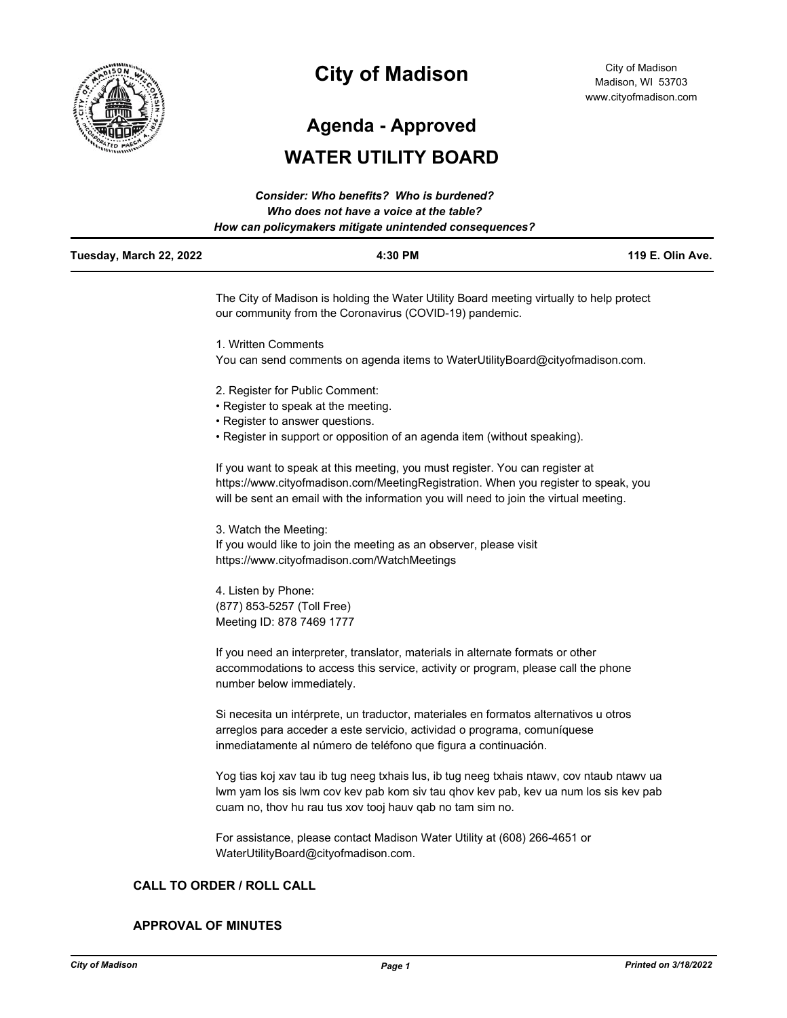

# **City of Madison**

City of Madison Madison, WI 53703 www.cityofmadison.com

**Agenda - Approved**

## **WATER UTILITY BOARD**

|                         | Consider: Who benefits? Who is burdened?<br>Who does not have a voice at the table?<br>How can policymakers mitigate unintended consequences?                                                                                                               |                  |  |
|-------------------------|-------------------------------------------------------------------------------------------------------------------------------------------------------------------------------------------------------------------------------------------------------------|------------------|--|
| Tuesday, March 22, 2022 | 4:30 PM                                                                                                                                                                                                                                                     | 119 E. Olin Ave. |  |
|                         | The City of Madison is holding the Water Utility Board meeting virtually to help protect<br>our community from the Coronavirus (COVID-19) pandemic.                                                                                                         |                  |  |
|                         | 1. Written Comments                                                                                                                                                                                                                                         |                  |  |
|                         | You can send comments on agenda items to WaterUtilityBoard@cityofmadison.com.                                                                                                                                                                               |                  |  |
|                         | 2. Register for Public Comment:                                                                                                                                                                                                                             |                  |  |
|                         | • Register to speak at the meeting.                                                                                                                                                                                                                         |                  |  |
|                         | • Register to answer questions.                                                                                                                                                                                                                             |                  |  |
|                         | • Register in support or opposition of an agenda item (without speaking).                                                                                                                                                                                   |                  |  |
|                         | If you want to speak at this meeting, you must register. You can register at<br>https://www.cityofmadison.com/MeetingRegistration. When you register to speak, you<br>will be sent an email with the information you will need to join the virtual meeting. |                  |  |
|                         | 3. Watch the Meeting:                                                                                                                                                                                                                                       |                  |  |

If you would like to join the meeting as an observer, please visit https://www.cityofmadison.com/WatchMeetings

4. Listen by Phone: (877) 853-5257 (Toll Free) Meeting ID: 878 7469 1777

If you need an interpreter, translator, materials in alternate formats or other accommodations to access this service, activity or program, please call the phone number below immediately.

Si necesita un intérprete, un traductor, materiales en formatos alternativos u otros arreglos para acceder a este servicio, actividad o programa, comuníquese inmediatamente al número de teléfono que figura a continuación.

Yog tias koj xav tau ib tug neeg txhais lus, ib tug neeg txhais ntawv, cov ntaub ntawv ua lwm yam los sis lwm cov kev pab kom siv tau qhov kev pab, kev ua num los sis kev pab cuam no, thov hu rau tus xov tooj hauv qab no tam sim no.

For assistance, please contact Madison Water Utility at (608) 266-4651 or WaterUtilityBoard@cityofmadison.com.

## **CALL TO ORDER / ROLL CALL**

## **APPROVAL OF MINUTES**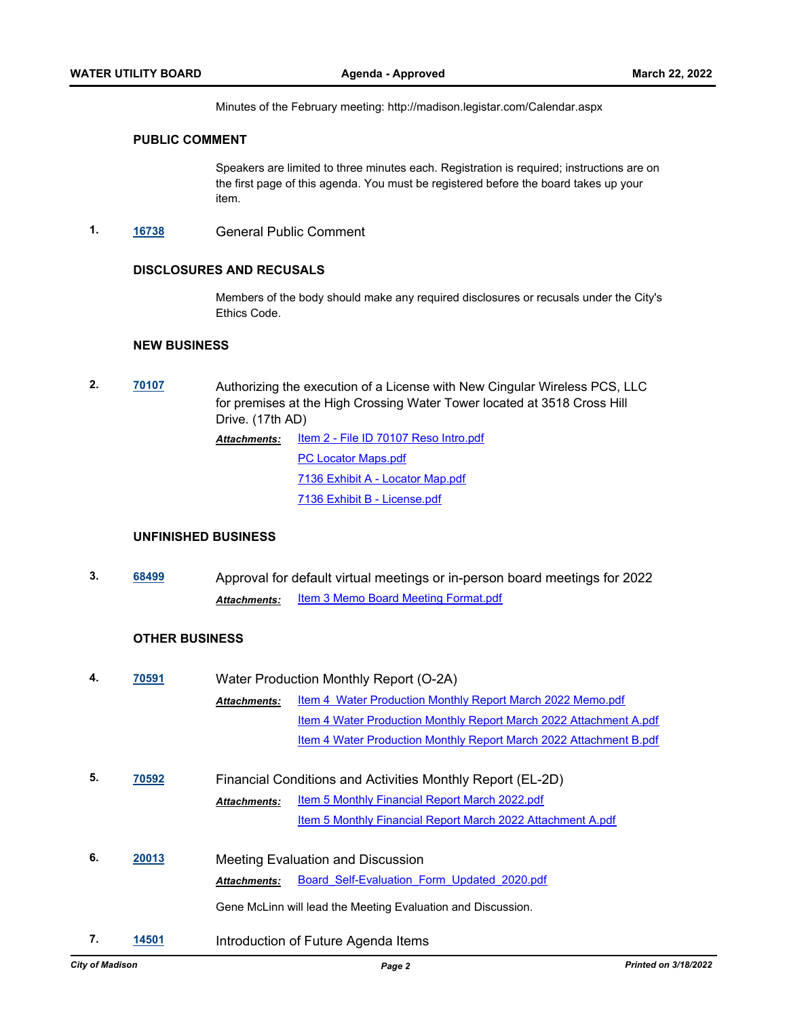Minutes of the February meeting: http://madison.legistar.com/Calendar.aspx

#### **PUBLIC COMMENT**

Speakers are limited to three minutes each. Registration is required; instructions are on the first page of this agenda. You must be registered before the board takes up your item.

**1. [16738](http://madison.legistar.com/gateway.aspx?m=l&id=/matter.aspx?key=18604)** General Public Comment

## **DISCLOSURES AND RECUSALS**

Members of the body should make any required disclosures or recusals under the City's Ethics Code.

## **NEW BUSINESS**

**2. [70107](http://madison.legistar.com/gateway.aspx?m=l&id=/matter.aspx?key=81287)** Authorizing the execution of a License with New Cingular Wireless PCS, LLC for premises at the High Crossing Water Tower located at 3518 Cross Hill Drive. (17th AD) [Item 2 - File ID 70107 Reso Intro.pdf](http://madison.legistar.com/gateway.aspx?M=F&ID=a480612c-5e52-4921-90f3-e2e48516ce7e.pdf) [PC Locator Maps.pdf](http://madison.legistar.com/gateway.aspx?M=F&ID=efb111ce-5ef3-4e47-8ad6-e71e0c2f797f.pdf) [7136 Exhibit A - Locator Map.pdf](http://madison.legistar.com/gateway.aspx?M=F&ID=ac9e2ab0-4a61-4f8b-8092-871e089e8123.pdf) [7136 Exhibit B - License.pdf](http://madison.legistar.com/gateway.aspx?M=F&ID=7c50ea4a-e703-429a-b4b9-2b7dbdc518f1.pdf) *Attachments:*

## **UNFINISHED BUSINESS**

**3. [68499](http://madison.legistar.com/gateway.aspx?m=l&id=/matter.aspx?key=80176)** Approval for default virtual meetings or in-person board meetings for 2022 **Attachments:** [Item 3 Memo Board Meeting Format.pdf](http://madison.legistar.com/gateway.aspx?M=F&ID=94b2d04c-561d-4040-aac8-597cbfac2e63.pdf)

## **OTHER BUSINESS**

| 4. | 70591 | Water Production Monthly Report (O-2A)                     |                                                                    |  |
|----|-------|------------------------------------------------------------|--------------------------------------------------------------------|--|
|    |       | <b>Attachments:</b>                                        | Item 4 Water Production Monthly Report March 2022 Memo.pdf         |  |
|    |       |                                                            | Item 4 Water Production Monthly Report March 2022 Attachment A.pdf |  |
|    |       |                                                            | Item 4 Water Production Monthly Report March 2022 Attachment B.pdf |  |
|    |       |                                                            |                                                                    |  |
| 5. | 70592 | Financial Conditions and Activities Monthly Report (EL-2D) |                                                                    |  |
|    |       | <b>Attachments:</b>                                        | <b>Item 5 Monthly Financial Report March 2022.pdf</b>              |  |
|    |       |                                                            | Item 5 Monthly Financial Report March 2022 Attachment A.pdf        |  |
| 6. | 20013 |                                                            | Meeting Evaluation and Discussion                                  |  |
|    |       | <b>Attachments:</b>                                        | Board Self-Evaluation Form Updated 2020.pdf                        |  |
|    |       |                                                            | Gene McLinn will lead the Meeting Evaluation and Discussion.       |  |
| 7. | 14501 |                                                            | Introduction of Future Agenda Items                                |  |